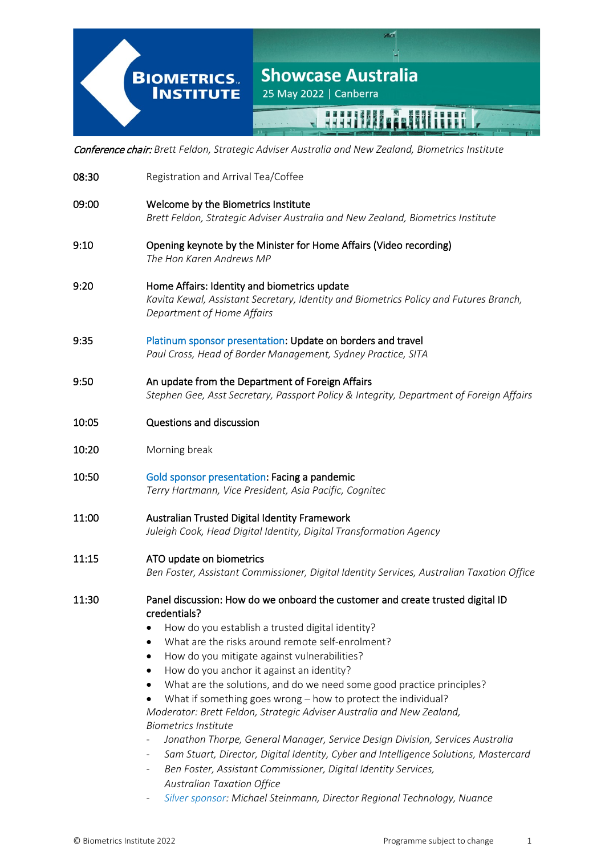# **Showcase Australia BIOMETRICS. INSTITUTE** 25 May 2022 | Canberra **HARLICE SANTHERE** I

Conference chair: *Brett Feldon, Strategic Adviser Australia and New Zealand, Biometrics Institute*

- 08:30 Registration and Arrival Tea/Coffee 09:00 Welcome by the Biometrics Institute *Brett Feldon, Strategic Adviser Australia and New Zealand, Biometrics Institute* 9:10 Opening keynote by the Minister for Home Affairs (Video recording) *The Hon Karen Andrews MP* 9:20 Home Affairs: Identity and biometrics update *Kavita Kewal, Assistant Secretary, Identity and Biometrics Policy and Futures Branch, Department of Home Affairs* 9:35 Platinum sponsor presentation: Update on borders and travel *Paul Cross, Head of Border Management, Sydney Practice, SITA* 9:50 An update from the Department of Foreign Affairs *Stephen Gee, Asst Secretary, Passport Policy & Integrity, Department of Foreign Affairs* 10:05 Questions and discussion 10:20 Morning break 10:50 Gold sponsor presentation: Facing a pandemic *Terry Hartmann, Vice President, Asia Pacific, Cognitec* 11:00 Australian Trusted Digital Identity Framework *Juleigh Cook, Head Digital Identity, Digital Transformation Agency* 11:15 ATO update on biometrics *Ben Foster, Assistant Commissioner, Digital Identity Services, Australian Taxation Office*  11:30 Panel discussion: How do we onboard the customer and create trusted digital ID credentials? • How do you establish a trusted digital identity? What are the risks around remote self-enrolment? • How do you mitigate against vulnerabilities? • How do you anchor it against an identity? • What are the solutions, and do we need some good practice principles? What if something goes wrong  $-$  how to protect the individual? *Moderator: Brett Feldon, Strategic Adviser Australia and New Zealand, Biometrics Institute* - *Jonathon Thorpe, General Manager, Service Design Division, Services Australia* - *Sam Stuart, Director, Digital Identity, Cyber and Intelligence Solutions, Mastercard* - *Ben Foster, Assistant Commissioner, Digital Identity Services, Australian Taxation Office*
	- *Silver sponsor: Michael Steinmann, Director Regional Technology, Nuance*